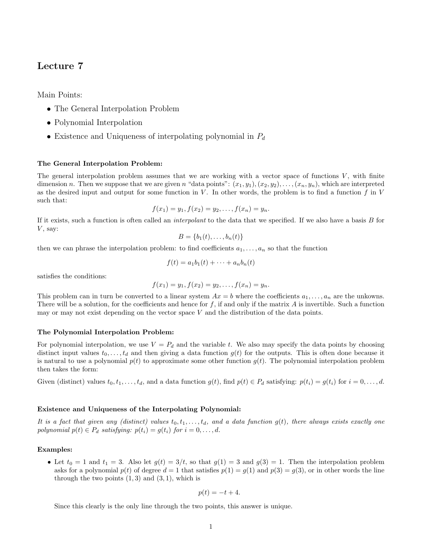# Lecture 7

Main Points:

- The General Interpolation Problem
- Polynomial Interpolation
- Existence and Uniqueness of interpolating polynomial in  $P_d$

# The General Interpolation Problem:

The general interpolation problem assumes that we are working with a vector space of functions  $V$ , with finite dimension n. Then we suppose that we are given n "data points":  $(x_1, y_1), (x_2, y_2), \ldots, (x_n, y_n)$ , which are interpreted as the desired input and output for some function in  $V$ . In other words, the problem is to find a function  $f$  in  $V$ such that:

$$
f(x_1) = y_1, f(x_2) = y_2, \dots, f(x_n) = y_n.
$$

If it exists, such a function is often called an *interpolant* to the data that we specified. If we also have a basis B for  $V$ , say:

$$
B = \{b_1(t), \ldots, b_n(t)\}
$$

then we can phrase the interpolation problem: to find coefficients  $a_1, \ldots, a_n$  so that the function

$$
f(t) = a_1b_1(t) + \cdots + a_nb_n(t)
$$

satisfies the conditions:

$$
f(x_1) = y_1, f(x_2) = y_2, \dots, f(x_n) = y_n.
$$

This problem can in turn be converted to a linear system  $Ax = b$  where the coefficients  $a_1, \ldots, a_n$  are the unkowns. There will be a solution, for the coefficients and hence for  $f$ , if and only if the matrix  $A$  is invertible. Such a function may or may not exist depending on the vector space  $V$  and the distribution of the data points.

#### The Polynomial Interpolation Problem:

For polynomial interpolation, we use  $V = P_d$  and the variable t. We also may specify the data points by choosing distinct input values  $t_0, \ldots, t_d$  and then giving a data function  $g(t)$  for the outputs. This is often done because it is natural to use a polynomial  $p(t)$  to approximate some other function  $q(t)$ . The polynomial interpolation problem then takes the form:

Given (distinct) values  $t_0, t_1, \ldots, t_d$ , and a data function  $g(t)$ , find  $p(t) \in P_d$  satisfying:  $p(t_i) = g(t_i)$  for  $i = 0, \ldots, d$ .

#### Existence and Uniqueness of the Interpolating Polynomial:

It is a fact that given any (distinct) values  $t_0, t_1, \ldots, t_d$ , and a data function  $g(t)$ , there always exists exactly one polynomial  $p(t) \in P_d$  satisfying:  $p(t_i) = g(t_i)$  for  $i = 0, \ldots, d$ .

# Examples:

• Let  $t_0 = 1$  and  $t_1 = 3$ . Also let  $g(t) = 3/t$ , so that  $g(1) = 3$  and  $g(3) = 1$ . Then the interpolation problem asks for a polynomial  $p(t)$  of degree  $d = 1$  that satisfies  $p(1) = q(1)$  and  $p(3) = q(3)$ , or in other words the line through the two points  $(1, 3)$  and  $(3, 1)$ , which is

$$
p(t) = -t + 4.
$$

Since this clearly is the only line through the two points, this answer is unique.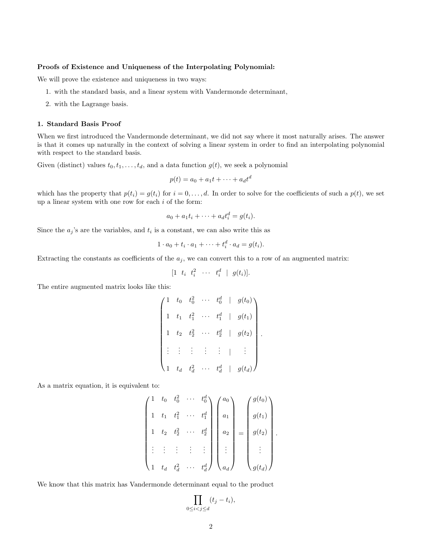## Proofs of Existence and Uniqueness of the Interpolating Polynomial:

We will prove the existence and uniqueness in two ways:

- 1. with the standard basis, and a linear system with Vandermonde determinant,
- 2. with the Lagrange basis.

## 1. Standard Basis Proof

When we first introduced the Vandermonde determinant, we did not say where it most naturally arises. The answer is that it comes up naturally in the context of solving a linear system in order to find an interpolating polynomial with respect to the standard basis.

Given (distinct) values  $t_0, t_1, \ldots, t_d$ , and a data function  $g(t)$ , we seek a polynomial

$$
p(t) = a_0 + a_1t + \dots + a_dt^d
$$

which has the property that  $p(t_i) = g(t_i)$  for  $i = 0, \ldots, d$ . In order to solve for the coefficients of such a  $p(t)$ , we set up a linear system with one row for each  $i$  of the form:

$$
a_0 + a_1t_i + \cdots + a_dt_i^d = g(t_i).
$$

Since the  $a_j$ 's are the variables, and  $t_i$  is a constant, we can also write this as

$$
1 \cdot a_0 + t_i \cdot a_1 + \cdots + t_i^d \cdot a_d = g(t_i).
$$

Extracting the constants as coefficients of the  $a_i$ , we can convert this to a row of an augmented matrix:

$$
[1 \quad t_i \quad t_i^2 \quad \cdots \quad t_i^d \quad | \quad g(t_i)].
$$

The entire augmented matrix looks like this:

$$
\begin{pmatrix}\n1 & t_0 & t_0^2 & \cdots & t_0^d & | & g(t_0) \\
1 & t_1 & t_1^2 & \cdots & t_1^d & | & g(t_1) \\
1 & t_2 & t_2^2 & \cdots & t_2^d & | & g(t_2) \\
\vdots & \vdots & \vdots & \vdots & \vdots & | & \vdots \\
1 & t_d & t_d^2 & \cdots & t_d^d & | & g(t_d)\n\end{pmatrix}.
$$

As a matrix equation, it is equivalent to:

$$
\begin{pmatrix} 1 & t_0 & t_0^2 & \cdots & t_0^d \\ 1 & t_1 & t_1^2 & \cdots & t_1^d \\ 1 & t_2 & t_2^2 & \cdots & t_2^d \\ \vdots & \vdots & \vdots & \vdots & \vdots \\ 1 & t_d & t_d^2 & \cdots & t_d^d \end{pmatrix} \begin{pmatrix} a_0 \\ a_1 \\ a_2 \\ \vdots \\ a_d \end{pmatrix} = \begin{pmatrix} g(t_0) \\ g(t_1) \\ g(t_2) \\ \vdots \\ g(t_d) \end{pmatrix}.
$$

We know that this matrix has Vandermonde determinant equal to the product

$$
\prod_{0\leq i
$$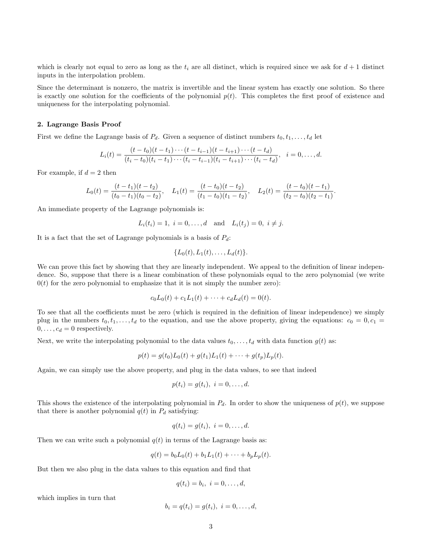which is clearly not equal to zero as long as the  $t_i$  are all distinct, which is required since we ask for  $d+1$  distinct inputs in the interpolation problem.

Since the determinant is nonzero, the matrix is invertible and the linear system has exactly one solution. So there is exactly one solution for the coefficients of the polynomial  $p(t)$ . This completes the first proof of existence and uniqueness for the interpolating polynomial.

## 2. Lagrange Basis Proof

First we define the Lagrange basis of  $P_d$ . Given a sequence of distinct numbers  $t_0, t_1, \ldots, t_d$  let

$$
L_i(t) = \frac{(t - t_0)(t - t_1) \cdots (t - t_{i-1})(t - t_{i+1}) \cdots (t - t_d)}{(t_i - t_0)(t_i - t_1) \cdots (t_i - t_{i-1})(t_i - t_{i+1}) \cdots (t_i - t_d)}, \quad i = 0, \ldots, d.
$$

For example, if  $d = 2$  then

$$
L_0(t) = \frac{(t - t_1)(t - t_2)}{(t_0 - t_1)(t_0 - t_2)}, \quad L_1(t) = \frac{(t - t_0)(t - t_2)}{(t_1 - t_0)(t_1 - t_2)}, \quad L_2(t) = \frac{(t - t_0)(t - t_1)}{(t_2 - t_0)(t_2 - t_1)}.
$$

An immediate property of the Lagrange polynomials is:

$$
L_i(t_i) = 1, i = 0,..., d
$$
 and  $L_i(t_j) = 0, i \neq j$ .

It is a fact that the set of Lagrange polynomials is a basis of  $P_d$ :

$$
\{L_0(t), L_1(t), \ldots, L_d(t)\}.
$$

We can prove this fact by showing that they are linearly independent. We appeal to the definition of linear independence. So, suppose that there is a linear combination of these polynomials equal to the zero polynomial (we write  $0(t)$  for the zero polynomial to emphasize that it is not simply the number zero):

$$
c_0L_0(t) + c_1L_1(t) + \cdots + c_dL_d(t) = 0(t).
$$

To see that all the coefficients must be zero (which is required in the definition of linear independence) we simply plug in the numbers  $t_0, t_1, \ldots, t_d$  to the equation, and use the above property, giving the equations:  $c_0 = 0, c_1 = 0$  $0, \ldots, c_d = 0$  respectively.

Next, we write the interpolating polynomial to the data values  $t_0, \ldots, t_d$  with data function  $g(t)$  as:

$$
p(t) = g(t_0)L_0(t) + g(t_1)L_1(t) + \cdots + g(t_p)L_p(t).
$$

Again, we can simply use the above property, and plug in the data values, to see that indeed

$$
p(t_i) = g(t_i), \ i = 0, \ldots, d.
$$

This shows the existence of the interpolating polynomial in  $P_d$ . In order to show the uniqueness of  $p(t)$ , we suppose that there is another polynomial  $q(t)$  in  $P_d$  satisfying:

$$
q(t_i) = g(t_i), \ i = 0, \ldots, d.
$$

Then we can write such a polynomial  $q(t)$  in terms of the Lagrange basis as:

$$
q(t) = b_0 L_0(t) + b_1 L_1(t) + \dots + b_p L_p(t).
$$

But then we also plug in the data values to this equation and find that

$$
q(t_i) = b_i, \ i = 0, \ldots, d,
$$

which implies in turn that

$$
b_i = q(t_i) = g(t_i), \ i = 0, \dots, d,
$$